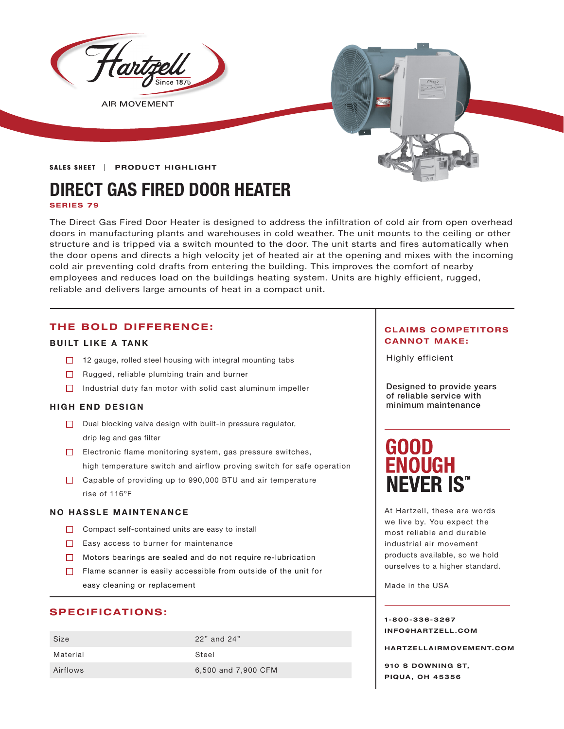

**AIR MOVEMENT** 

#### **SALES SHEET | PRODUCT HIGHLIGHT**

# **DIRECT GAS FIRED DOOR HEATER**

**SERIES 79**

The Direct Gas Fired Door Heater is designed to address the infiltration of cold air from open overhead doors in manufacturing plants and warehouses in cold weather. The unit mounts to the ceiling or other structure and is tripped via a switch mounted to the door. The unit starts and fires automatically when the door opens and directs a high velocity jet of heated air at the opening and mixes with the incoming cold air preventing cold drafts from entering the building. This improves the comfort of nearby employees and reduces load on the buildings heating system. Units are highly efficient, rugged, reliable and delivers large amounts of heat in a compact unit.

#### **THE BOLD DIFFERENCE:**

#### **BUILT LIKE A TANK**

- □ 12 gauge, rolled steel housing with integral mounting tabs
- $\Box$  Rugged, reliable plumbing train and burner
- $\Box$  Industrial duty fan motor with solid cast aluminum impeller

#### **HIGH END DESIGN**

- $\Box$  Dual blocking valve design with built-in pressure regulator, drip leg and gas filter
- $\Box$  Electronic flame monitoring system, gas pressure switches, high temperature switch and airflow proving switch for safe operation
- □ Capable of providing up to 990,000 BTU and air temperature rise of 116°F

#### **NO HASSLE MAINTENANCE**

- $\Box$  Compact self-contained units are easy to install
- $\Box$  Easy access to burner for maintenance
- Motors bearings are sealed and do not require re-lubrication
- $\Box$  Flame scanner is easily accessible from outside of the unit for easy cleaning or replacement

#### **SPECIFICATIONS:**

| Size     | 22" and 24"         |
|----------|---------------------|
| Material | Steel               |
| Airflows | 6,500 and 7,900 CFM |

#### **CLAIMS COMPETITORS CANNOT MAKE:**

Highly efficient

Designed to provide years of reliable service with minimum maintenance

## **GOOD ENOUGH NEVER IS"**

At Hartzell, these are words we live by. You expect the most reliable and durable industrial air movement products available, so we hold ourselves to a higher standard.

Made in the USA

**1-800-336-3267 I N F O @ H A R T Z E L L . C OM** 

**HARTZELLA IRMOVEMENT.COM**

**910 S DOWNING ST, PIQUA, OH 45356**